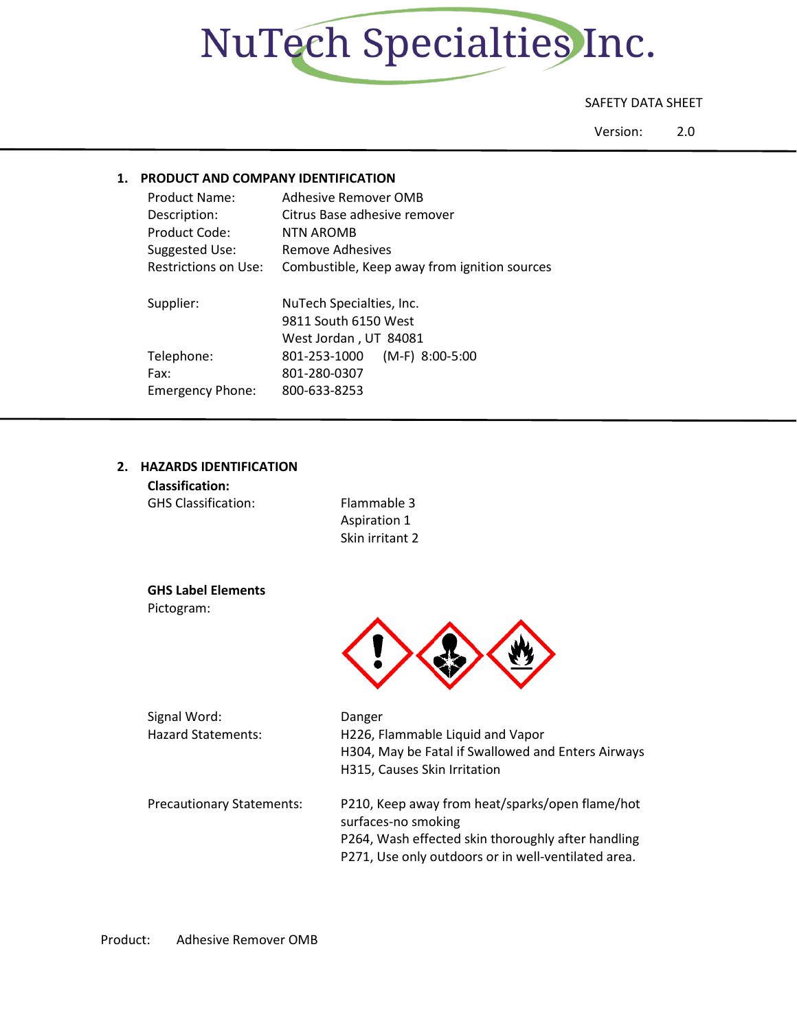

## SAFETY DATA SHEET

Version: 2.0

## **1. PRODUCT AND COMPANY IDENTIFICATION**

| Product Name:<br>Description:<br>Product Code:<br>Suggested Use:<br>Restrictions on Use: | Adhesive Remover OMB<br>Citrus Base adhesive remover<br><b>NTN AROMB</b><br>Remove Adhesives<br>Combustible, Keep away from ignition sources |
|------------------------------------------------------------------------------------------|----------------------------------------------------------------------------------------------------------------------------------------------|
| Supplier:                                                                                | NuTech Specialties, Inc.<br>9811 South 6150 West<br>West Jordan, UT 84081                                                                    |
| Telephone:<br>Fax:<br><b>Emergency Phone:</b>                                            | $(M-F)$ 8:00-5:00<br>801-253-1000<br>801-280-0307<br>800-633-8253                                                                            |

## **2. HAZARDS IDENTIFICATION**

| <b>Classification:</b><br><b>GHS Classification:</b> | Flammable 3<br>Aspiration 1<br>Skin irritant 2 |
|------------------------------------------------------|------------------------------------------------|
| <b>GHS Label Elements</b><br>Pictogram:              |                                                |



| Signal Word:<br><b>Hazard Statements:</b> | Danger<br>H226, Flammable Liquid and Vapor<br>H304, May be Fatal if Swallowed and Enters Airways<br>H315, Causes Skin Irritation                                                    |
|-------------------------------------------|-------------------------------------------------------------------------------------------------------------------------------------------------------------------------------------|
| <b>Precautionary Statements:</b>          | P210, Keep away from heat/sparks/open flame/hot<br>surfaces-no smoking<br>P264, Wash effected skin thoroughly after handling<br>P271, Use only outdoors or in well-ventilated area. |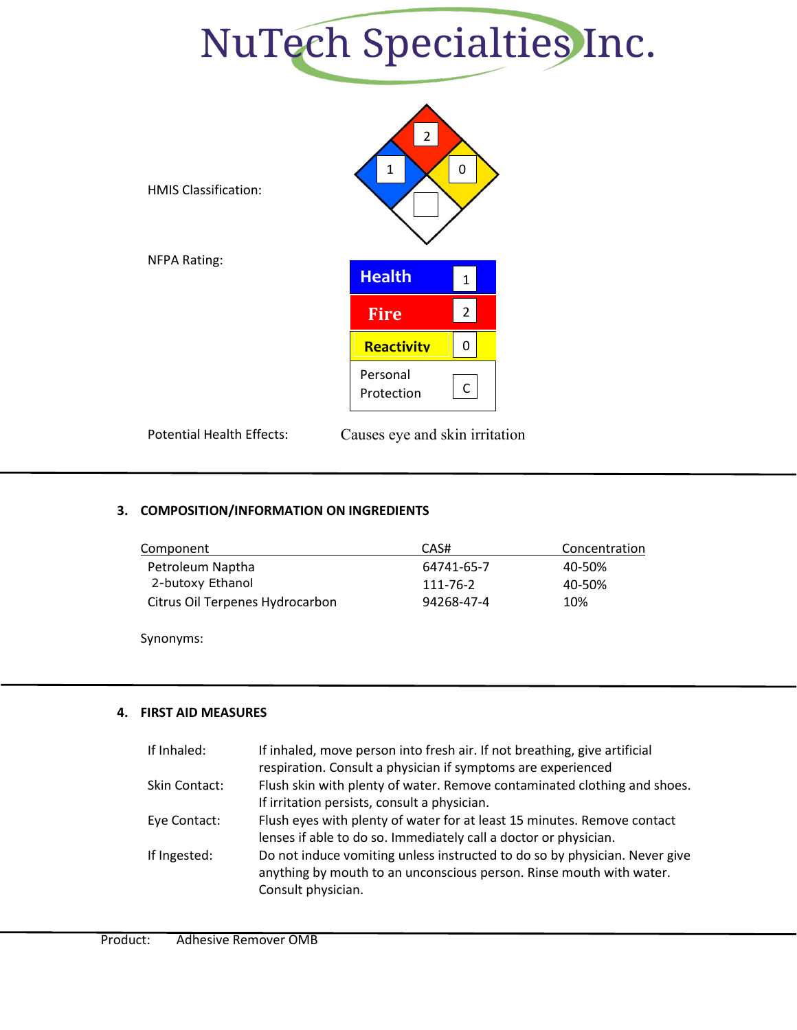



Potential Health Effects: Causes eye and skin irritation

## **3. COMPOSITION/INFORMATION ON INGREDIENTS**

| Concentration |
|---------------|
| 40-50%        |
| 40-50%        |
| 10%           |
|               |

Synonyms:

## **4. FIRST AID MEASURES**

| If Inhaled:   | If inhaled, move person into fresh air. If not breathing, give artificial<br>respiration. Consult a physician if symptoms are experienced                               |
|---------------|-------------------------------------------------------------------------------------------------------------------------------------------------------------------------|
| Skin Contact: | Flush skin with plenty of water. Remove contaminated clothing and shoes.<br>If irritation persists, consult a physician.                                                |
| Eye Contact:  | Flush eyes with plenty of water for at least 15 minutes. Remove contact<br>lenses if able to do so. Immediately call a doctor or physician.                             |
| If Ingested:  | Do not induce vomiting unless instructed to do so by physician. Never give<br>anything by mouth to an unconscious person. Rinse mouth with water.<br>Consult physician. |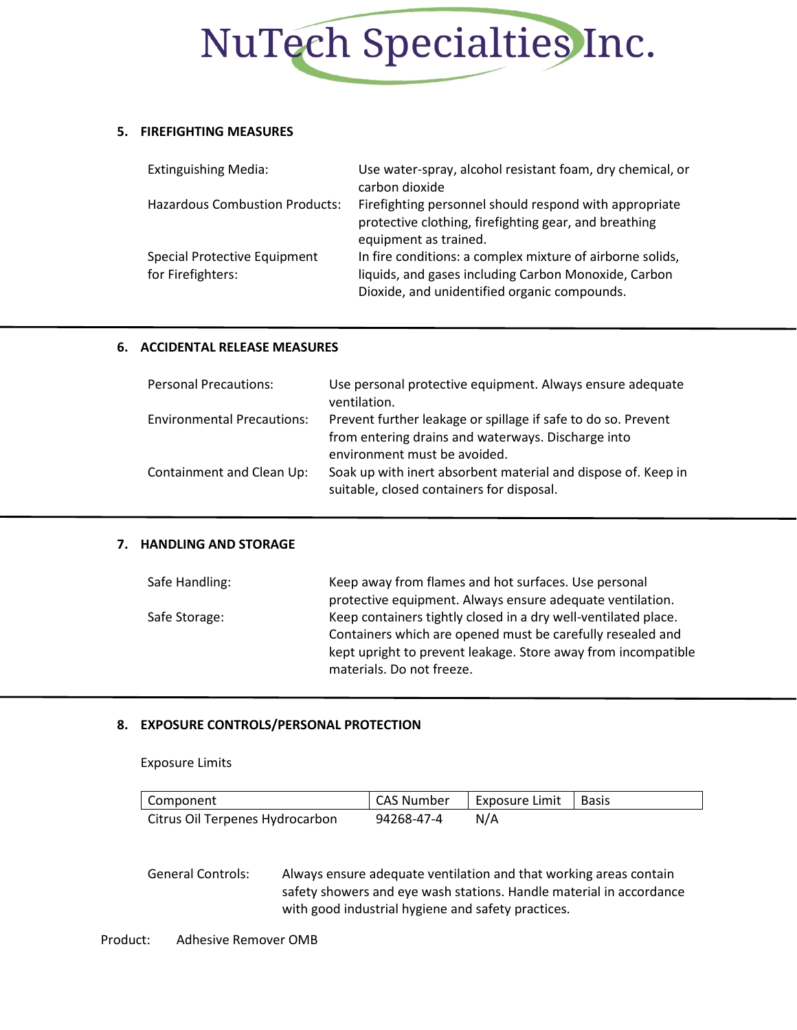

### **5. FIREFIGHTING MEASURES**

| <b>Extinguishing Media:</b>                       | Use water-spray, alcohol resistant foam, dry chemical, or<br>carbon dioxide                                                                                       |
|---------------------------------------------------|-------------------------------------------------------------------------------------------------------------------------------------------------------------------|
| <b>Hazardous Combustion Products:</b>             | Firefighting personnel should respond with appropriate<br>protective clothing, firefighting gear, and breathing<br>equipment as trained.                          |
| Special Protective Equipment<br>for Firefighters: | In fire conditions: a complex mixture of airborne solids,<br>liquids, and gases including Carbon Monoxide, Carbon<br>Dioxide, and unidentified organic compounds. |

#### **6. ACCIDENTAL RELEASE MEASURES**

| <b>Personal Precautions:</b>      | Use personal protective equipment. Always ensure adequate<br>ventilation.                                           |
|-----------------------------------|---------------------------------------------------------------------------------------------------------------------|
| <b>Environmental Precautions:</b> | Prevent further leakage or spillage if safe to do so. Prevent<br>from entering drains and waterways. Discharge into |
|                                   | environment must be avoided.                                                                                        |
| Containment and Clean Up:         | Soak up with inert absorbent material and dispose of. Keep in<br>suitable, closed containers for disposal.          |

## **7. HANDLING AND STORAGE**

| Safe Handling: | Keep away from flames and hot surfaces. Use personal           |
|----------------|----------------------------------------------------------------|
|                | protective equipment. Always ensure adequate ventilation.      |
| Safe Storage:  | Keep containers tightly closed in a dry well-ventilated place. |
|                | Containers which are opened must be carefully resealed and     |
|                | kept upright to prevent leakage. Store away from incompatible  |
|                | materials. Do not freeze.                                      |

#### **8. EXPOSURE CONTROLS/PERSONAL PROTECTION**

Exposure Limits

| Component                       | CAS Number | Exposure Limit   Basis |  |
|---------------------------------|------------|------------------------|--|
| Citrus Oil Terpenes Hydrocarbon | 94268-47-4 | N/A                    |  |

General Controls: Always ensure adequate ventilation and that working areas contain safety showers and eye wash stations. Handle material in accordance with good industrial hygiene and safety practices.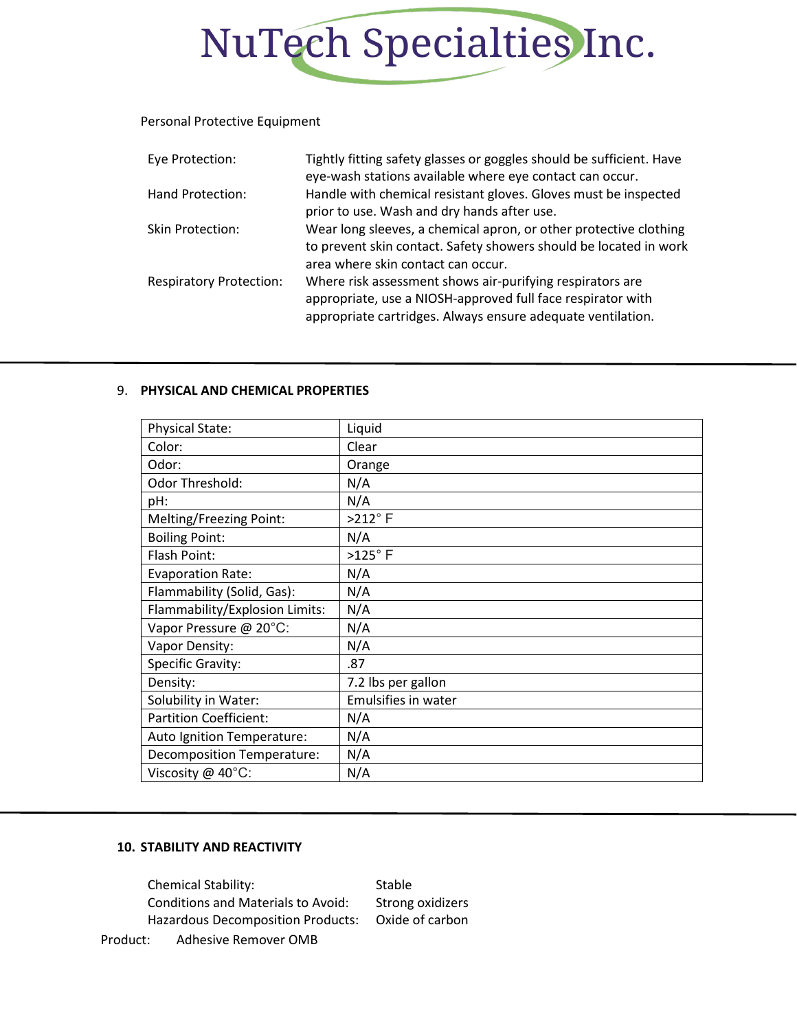

### Personal Protective Equipment

| Eye Protection:                | Tightly fitting safety glasses or goggles should be sufficient. Have<br>eye-wash stations available where eye contact can occur.                                                        |
|--------------------------------|-----------------------------------------------------------------------------------------------------------------------------------------------------------------------------------------|
| Hand Protection:               | Handle with chemical resistant gloves. Gloves must be inspected<br>prior to use. Wash and dry hands after use.                                                                          |
| Skin Protection:               | Wear long sleeves, a chemical apron, or other protective clothing<br>to prevent skin contact. Safety showers should be located in work<br>area where skin contact can occur.            |
| <b>Respiratory Protection:</b> | Where risk assessment shows air-purifying respirators are<br>appropriate, use a NIOSH-approved full face respirator with<br>appropriate cartridges. Always ensure adequate ventilation. |

#### 9. **PHYSICAL AND CHEMICAL PROPERTIES**

| Physical State:                   | Liquid              |
|-----------------------------------|---------------------|
| Color:                            | Clear               |
| Odor:                             | Orange              |
| Odor Threshold:                   | N/A                 |
| pH:                               | N/A                 |
| Melting/Freezing Point:           | $>212^\circ$ F      |
| <b>Boiling Point:</b>             | N/A                 |
| Flash Point:                      | $>125^\circ$ F      |
| <b>Evaporation Rate:</b>          | N/A                 |
| Flammability (Solid, Gas):        | N/A                 |
| Flammability/Explosion Limits:    | N/A                 |
| Vapor Pressure @ 20°C:            | N/A                 |
| Vapor Density:                    | N/A                 |
| <b>Specific Gravity:</b>          | .87                 |
| Density:                          | 7.2 lbs per gallon  |
| Solubility in Water:              | Emulsifies in water |
| <b>Partition Coefficient:</b>     | N/A                 |
| Auto Ignition Temperature:        | N/A                 |
| <b>Decomposition Temperature:</b> | N/A                 |
| Viscosity @ 40°C:                 | N/A                 |

#### **10. STABILITY AND REACTIVITY**

Chemical Stability: Stable Conditions and Materials to Avoid: Strong oxidizers Hazardous Decomposition Products: Oxide of carbon

Product: Adhesive Remover OMB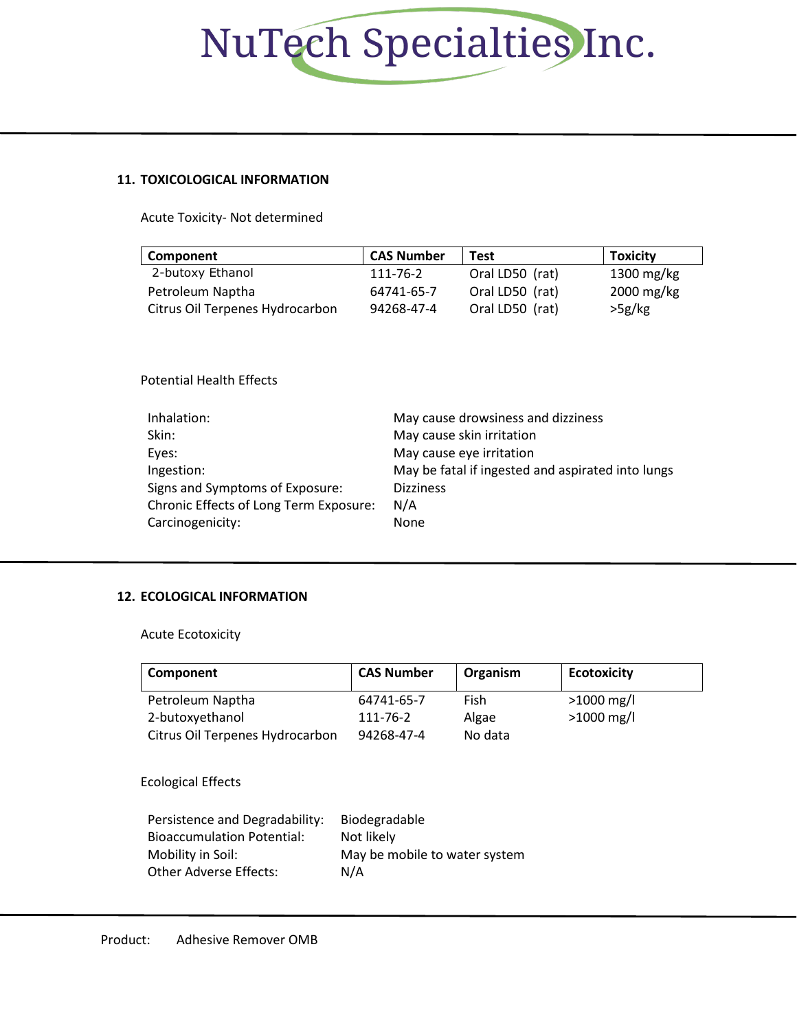# NuTech Specialties Inc.

## **11. TOXICOLOGICAL INFORMATION**

Acute Toxicity- Not determined

| Component                       | <b>CAS Number</b> | <b>Test</b>     | <b>Toxicity</b> |
|---------------------------------|-------------------|-----------------|-----------------|
| 2-butoxy Ethanol                | 111-76-2          | Oral LD50 (rat) | 1300 mg/kg      |
| Petroleum Naptha                | 64741-65-7        | Oral LD50 (rat) | 2000 mg/kg      |
| Citrus Oil Terpenes Hydrocarbon | 94268-47-4        | Oral LD50 (rat) | >5g/kg          |

Potential Health Effects

| Inhalation:                                   | May cause drowsiness and dizziness                |
|-----------------------------------------------|---------------------------------------------------|
| Skin:                                         | May cause skin irritation                         |
| Eyes:                                         | May cause eye irritation                          |
| Ingestion:                                    | May be fatal if ingested and aspirated into lungs |
| Signs and Symptoms of Exposure:               | <b>Dizziness</b>                                  |
| <b>Chronic Effects of Long Term Exposure:</b> | N/A                                               |
| Carcinogenicity:                              | None                                              |

## **12. ECOLOGICAL INFORMATION**

Acute Ecotoxicity

| Component                       | <b>CAS Number</b> | Organism | <b>Ecotoxicity</b> |
|---------------------------------|-------------------|----------|--------------------|
| Petroleum Naptha                | 64741-65-7        | Fish     | $>1000$ mg/l       |
| 2-butoxyethanol                 | 111-76-2          | Algae    | $>1000$ mg/l       |
| Citrus Oil Terpenes Hydrocarbon | 94268-47-4        | No data  |                    |

## Ecological Effects

| Persistence and Degradability:    | Biodegradable                 |
|-----------------------------------|-------------------------------|
| <b>Bioaccumulation Potential:</b> | Not likely                    |
| Mobility in Soil:                 | May be mobile to water system |
| Other Adverse Effects:            | N/A                           |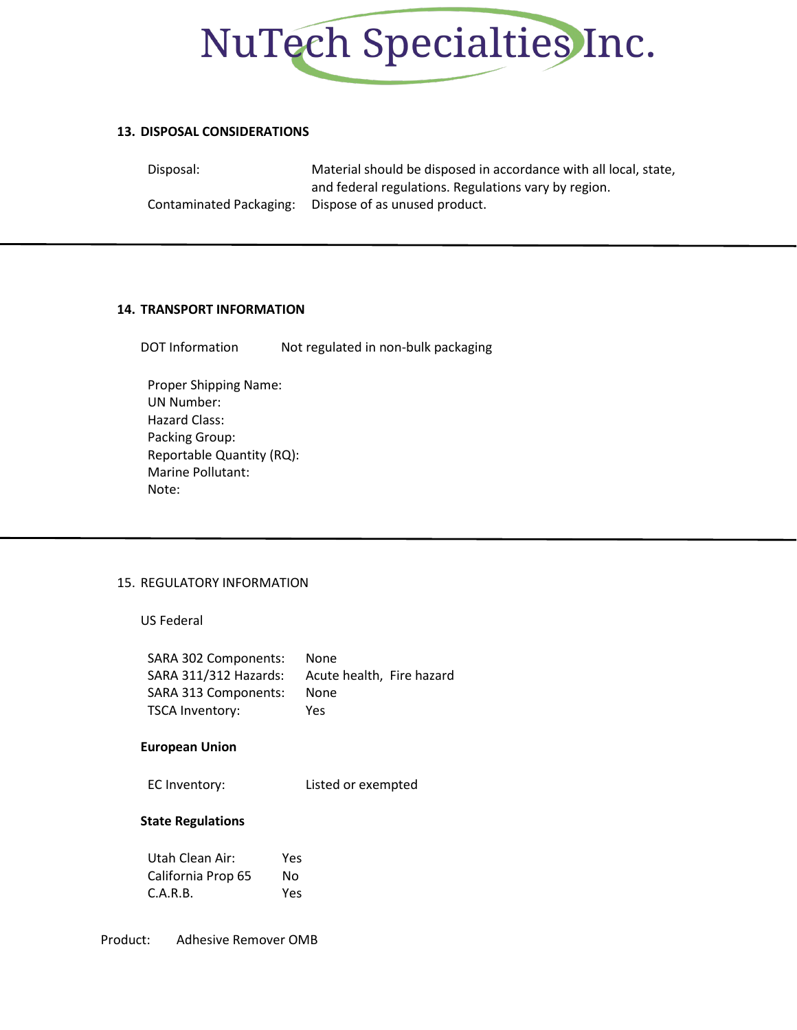

#### **13. DISPOSAL CONSIDERATIONS**

Disposal: Material should be disposed in accordance with all local, state, and federal regulations. Regulations vary by region. Contaminated Packaging: Dispose of as unused product.

#### **14. TRANSPORT INFORMATION**

DOT Information Mot regulated in non-bulk packaging

Proper Shipping Name: UN Number: Hazard Class: Packing Group: Reportable Quantity (RQ): Marine Pollutant: Note:

## 15. REGULATORY INFORMATION

US Federal

| SARA 302 Components:  | <b>None</b>               |
|-----------------------|---------------------------|
| SARA 311/312 Hazards: | Acute health, Fire hazard |
| SARA 313 Components:  | None                      |
| TSCA Inventory:       | Yes                       |

#### **European Union**

EC Inventory: Listed or exempted

#### **State Regulations**

| Utah Clean Air:    | Yes |
|--------------------|-----|
| California Prop 65 | Nο  |
| C.A.R.B.           | Yes |

Product: Adhesive Remover OMB